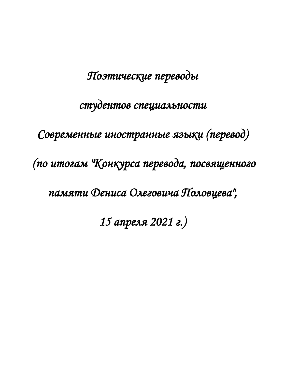# *Поэтические переводы*

## *студентов специальности*

*Современные иностранные языки (перевод)* 

 *(по итогам "Конкурса перевода, посвященного* 

*памяти Дениса Олеговича Половцева",* 

*15 апреля 2021 г.)*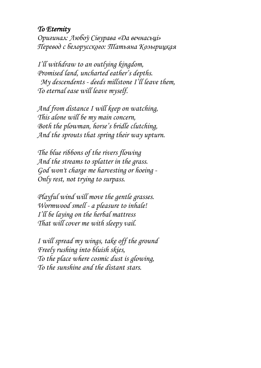### *To Eternity*

*Оригинал: Любоў Сівурава «Да вечнасьцi» Перевод с белорусского: Татьяна Козырицкая*

*I'll withdraw to an outlying kingdom, Promised land, uncharted eather's depths. My descendents - deeds millstone I'll leave them, To eternal ease will leave myself.* 

*And from distance I will keep on watching, This alone will be my main concern, Both the plowman, horse's bridle clutching, And the sprouts that spring their way upturn.* 

*The blue ribbons of the rivers flowing And the streams to splatter in the grass. God won't charge me harvesting or hoeing - Only rest, not trying to surpass.*

*Playful wind will move the gentle grasses. Wormwood smell - a pleasure to inhale! I'll be laying on the herbal mattress That will cover me with sleepy vail.* 

*I will spread my wings, take off the ground Freely rushing into bluish skies, To the place where cosmic dust is glowing, To the sunshine and the distant stars.*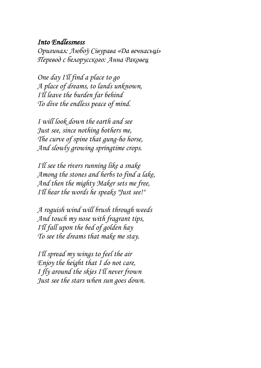#### *Into Endlessness*

*Оригинал: Любоў Сівурава «Да вечнасьцi» Перевод с белорусского: Анна Раковец*

*One day I'll find a place to go A place of dreams, to lands unknown, I'll leave the burden far behind To dive the endless peace of mind.*

*I will look down the earth and see Just see, since nothing bothers me, The curve of spine that gung-ho horse, And slowly growing springtime crops.*

*I'll see the rivers running like a snake Among the stones and herbs to find a lake, And then the mighty Maker sets me free, I'll hear the words he speaks "Just see!"*

*A roguish wind will brush through weeds And touch my nose with fragrant tips, I'll fall upon the bed of golden hay To see the dreams that make me stay.*

*I'll spread my wings to feel the air Enjoy the height that I do not care, I fly around the skies I'll never frown Just see the stars when sun goes down.*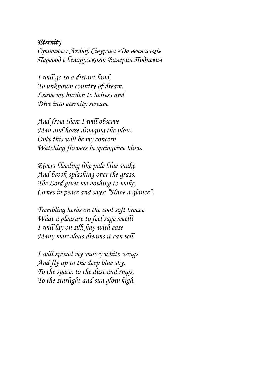#### *Eternity*

*Оригинал: Любоў Сівурава «Да вечнасьцi» Перевод с белорусского: Валерия Подневич*

*I will go to a distant land, To unknown country of dream. Leave my burden to heiress and Dive into eternity stream.*

*And from there I will observe Man and horse dragging the plow. Only this will be my concern Watching flowers in springtime blow.*

*Rivers bleeding like pale blue snake And brook splashing over the grass. The Lord gives me nothing to make, Comes in peace and says: "Have a glance".*

*Trembling herbs on the cool soft breeze What a pleasure to feel sage smell! I will lay on silk hay with ease Many marvelous dreams it can tell.*

*I will spread my snowy white wings And fly up to the deep blue sky. To the space, to the dust and rings, To the starlight and sun glow high.*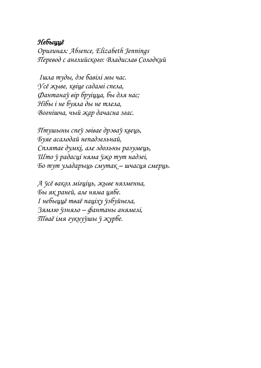#### *Небыццё*

*Оригинал: [Absence, Elizabeth](https://edufsc.bsu.by/pluginfile.php/58096/mod_assign/introattachment/0/Absence%20by%20Elizabeth%20Jennings.doc?forcedownload=1) Jennings Перевод с английского: Владислав Солодкий*

*Ішла туды, дзе бавілі мы час. Усё жыве, квіце садамі спела, Фантанаў вір бруіцца, бы для нас; Нібы і не буяла ды не тлела, Вогнішча, чый жар дачасна згас.*

*Птушыны спеў звівае дрэваў квець, Буяе асалодай непадзельнай, Сплятае думкі, але здольны разумець, Што ў радасці няма ўжо тут надзеі, Бо тут уладарыць смутак – шчасця смерць.*

*А ўсё вакол мігціць, жыве нязменна, Бы як раней, але няма цябе. І небыццё тваё паціху ўзбуйнела, Зямлю ўзняло – фантаны анямелі, Тваё імя гукнуўшы ў журбе.*